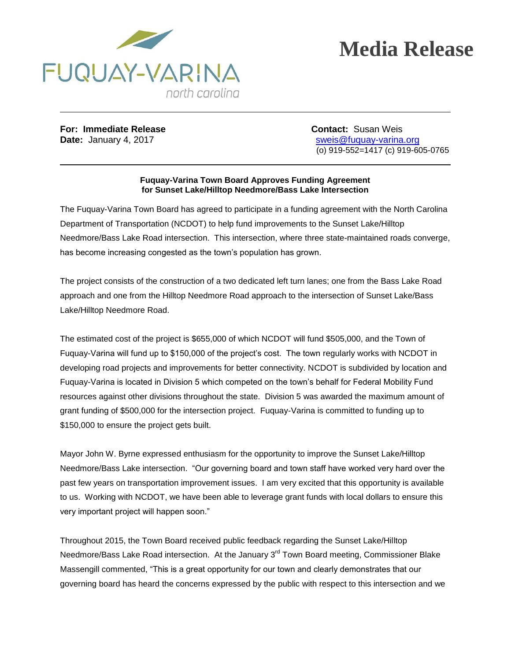

## **Media Release**

**For: Immediate Release Contact: Susan Weis** 

**Date:** January 4, 2017 **State:** State: Sweis@fuquay-varina.org (o) 919-552=1417 (c) 919-605-0765

## **Fuquay-Varina Town Board Approves Funding Agreement for Sunset Lake/Hilltop Needmore/Bass Lake Intersection**

The Fuquay-Varina Town Board has agreed to participate in a funding agreement with the North Carolina Department of Transportation (NCDOT) to help fund improvements to the Sunset Lake/Hilltop Needmore/Bass Lake Road intersection. This intersection, where three state-maintained roads converge, has become increasing congested as the town's population has grown.

The project consists of the construction of a two dedicated left turn lanes; one from the Bass Lake Road approach and one from the Hilltop Needmore Road approach to the intersection of Sunset Lake/Bass Lake/Hilltop Needmore Road.

The estimated cost of the project is \$655,000 of which NCDOT will fund \$505,000, and the Town of Fuquay-Varina will fund up to \$150,000 of the project's cost. The town regularly works with NCDOT in developing road projects and improvements for better connectivity. NCDOT is subdivided by location and Fuquay-Varina is located in Division 5 which competed on the town's behalf for Federal Mobility Fund resources against other divisions throughout the state. Division 5 was awarded the maximum amount of grant funding of \$500,000 for the intersection project. Fuquay-Varina is committed to funding up to \$150,000 to ensure the project gets built.

Mayor John W. Byrne expressed enthusiasm for the opportunity to improve the Sunset Lake/Hilltop Needmore/Bass Lake intersection. "Our governing board and town staff have worked very hard over the past few years on transportation improvement issues. I am very excited that this opportunity is available to us. Working with NCDOT, we have been able to leverage grant funds with local dollars to ensure this very important project will happen soon."

Throughout 2015, the Town Board received public feedback regarding the Sunset Lake/Hilltop Needmore/Bass Lake Road intersection. At the January 3<sup>rd</sup> Town Board meeting, Commissioner Blake Massengill commented, "This is a great opportunity for our town and clearly demonstrates that our governing board has heard the concerns expressed by the public with respect to this intersection and we